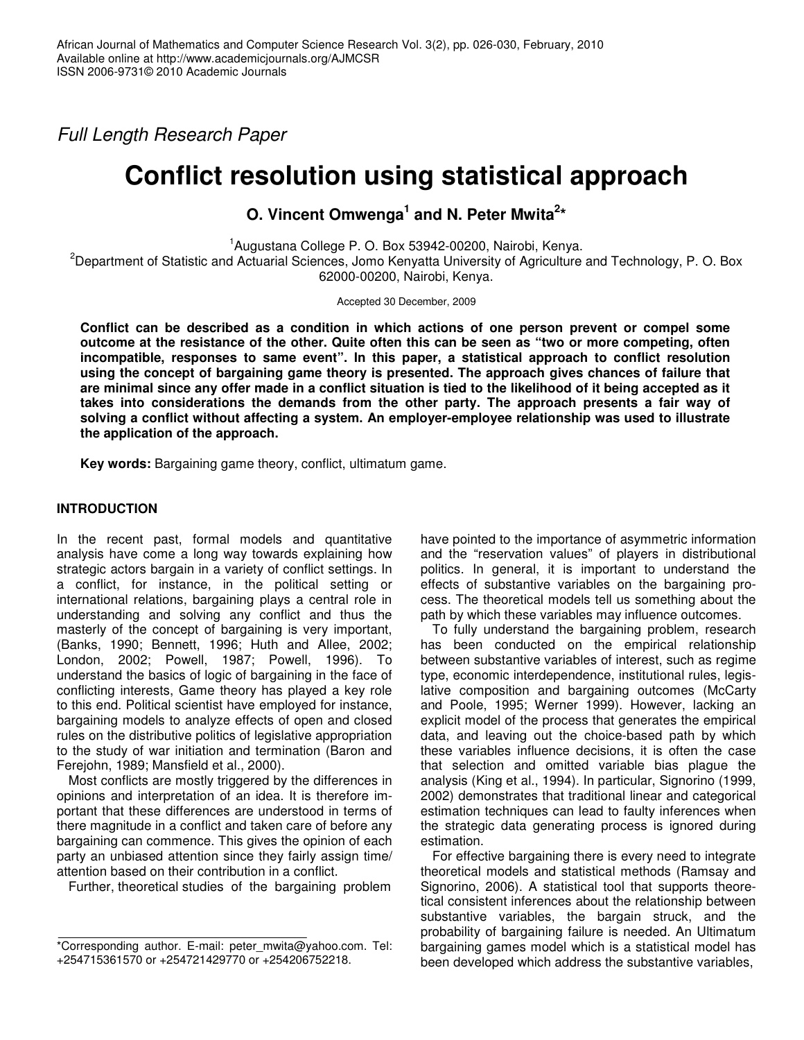*Full Length Research Paper*

# **Conflict resolution using statistical approach**

**O. Vincent Omwenga 1 and N. Peter Mwita 2 \***

1 Augustana College P. O. Box 53942-00200, Nairobi, Kenya. <sup>2</sup>Department of Statistic and Actuarial Sciences, Jomo Kenyatta University of Agriculture and Technology, P. O. Box 62000-00200, Nairobi, Kenya.

Accepted 30 December, 2009

**Conflict can be described as a condition in which actions of one person prevent or compel some** outcome at the resistance of the other. Quite often this can be seen as "two or more competing, often **incompatible, responses to same event". In this paper, a statistical approach to conflict resolution using the concept of bargaining game theory is presented. The approach gives chances of failure that** are minimal since any offer made in a conflict situation is tied to the likelihood of it being accepted as it **takes into considerations the demands from the other party. The approach presents a fair way of solving a conflict without affecting a system. An employer-employee relationship was used to illustrate the application of the approach.**

**Key words:** Bargaining game theory, conflict, ultimatum game.

### **INTRODUCTION**

In the recent past, formal models and quantitative analysis have come a long way towards explaining how strategic actors bargain in a variety of conflict settings. In a conflict, for instance, in the political setting or international relations, bargaining plays a central role in understanding and solving any conflict and thus the masterly of the concept of bargaining is very important, (Banks, 1990; Bennett, 1996; Huth and Allee, 2002; London, 2002; Powell, 1987; Powell, 1996). To understand the basics of logic of bargaining in the face of conflicting interests, Game theory has played a key role to this end. Political scientist have employed for instance, bargaining models to analyze effects of open and closed rules on the distributive politics of legislative appropriation to the study of war initiation and termination (Baron and Ferejohn, 1989; Mansfield et al., 2000).

Most conflicts are mostly triggered by the differences in opinions and interpretation of an idea. It is therefore important that these differences are understood in terms of there magnitude in a conflict and taken care of before any bargaining can commence. This gives the opinion of each party an unbiased attention since they fairly assign time/ attention based on their contribution in a conflict.

Further, theoretical studies of the bargaining problem

have pointed to the importance of asymmetric information and the "reservation values" of players in distributional politics. In general, it is important to understand the effects of substantive variables on the bargaining process. The theoretical models tell us something about the path by which these variables may influence outcomes.

To fully understand the bargaining problem, research has been conducted on the empirical relationship between substantive variables of interest, such as regime type, economic interdependence, institutional rules, legislative composition and bargaining outcomes (McCarty and Poole, 1995; Werner 1999). However, lacking an explicit model of the process that generates the empirical data, and leaving out the choice-based path by which these variables influence decisions, it is often the case that selection and omitted variable bias plague the analysis (King et al., 1994). In particular, Signorino (1999, 2002) demonstrates that traditional linear and categorical estimation techniques can lead to faulty inferences when the strategic data generating process is ignored during estimation.

For effective bargaining there is every need to integrate theoretical models and statistical methods (Ramsay and Signorino, 2006). A statistical tool that supports theoretical consistent inferences about the relationship between substantive variables, the bargain struck, and the probability of bargaining failure is needed. An Ultimatum bargaining games model which is a statistical model has been developed which address the substantive variables,

<sup>\*</sup>Corresponding author. E-mail: peter\_mwita@yahoo.com. Tel: +254715361570 or +254721429770 or +254206752218.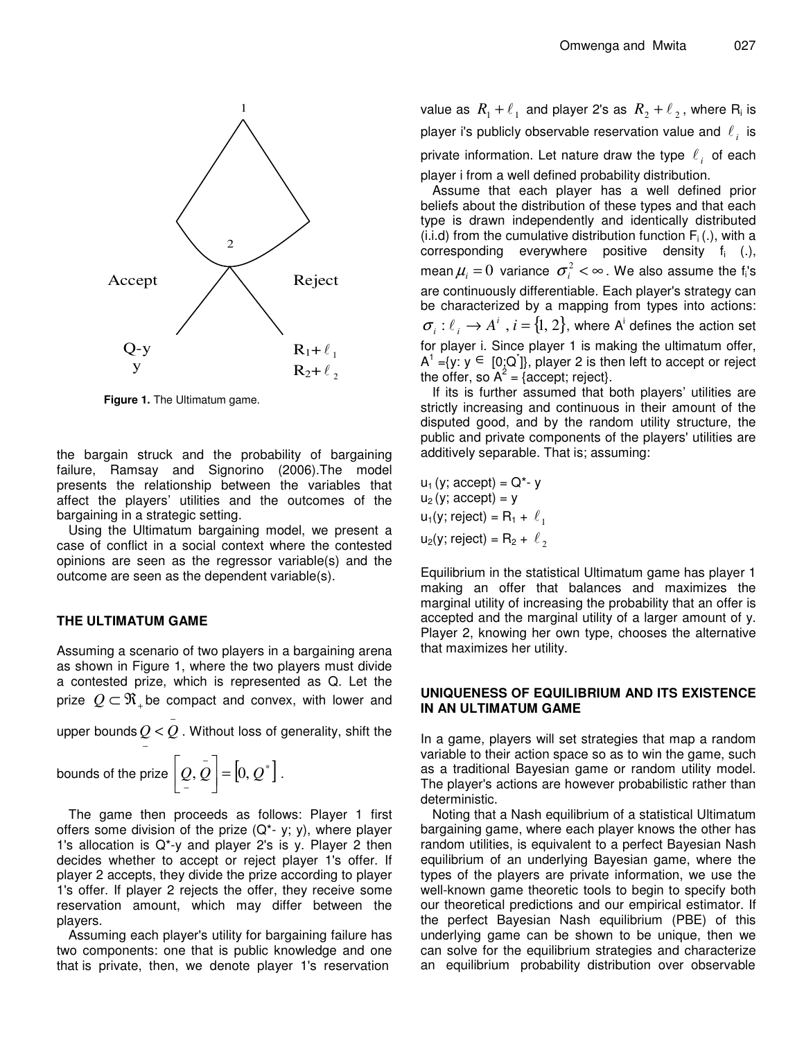

**Figure 1.** The Ultimatum game.

the bargain struck and the probability of bargaining failure, Ramsay and Signorino (2006).The model presents the relationship between the variables that affect the players' utilities and the outcomes of the bargaining in a strategic setting.

Using the Ultimatum bargaining model, we present a case of conflict in a social context where the contested opinions are seen as the regressor variable(s) and the outcome are seen as the dependent variable(s).

#### **THE ULTIMATUM GAME**

Assuming a scenario of two players in a bargaining arena as shown in Figure 1, where the two players must divide a contested prize, which is represented as Q. Let the prize  $\mathcal{Q}\subset\mathfrak{N}_+$ be compact and convex, with lower and

upper bounds  $Q$  <  $\overset{-}{Q}$  . Without loss of generality, shift the

bounds of the prize 
$$
\left[\underset{-}{\overline{Q}}, \underset{-}{\overline{Q}}\right] = \left[0, \underset{-}{\overline{Q}}^*\right]
$$
.

−

The game then proceeds as follows: Player 1 first offers some division of the prize  $(Q^* - y; y)$ , where player 1's allocation is Q\*-y and player 2's is y. Player 2 then decides whether to accept or reject player 1's offer. If player 2 accepts, they divide the prize according to player 1's offer. If player 2 rejects the offer, they receive some reservation amount, which may differ between the players.

Assuming each player's utility for bargaining failure has two components: one that is public knowledge and one that is private, then, we denote player 1's reservation

value as  $\,R_{\rm l}^{}+\ell_{\rm \,1}\,$  and player 2's as  $\,R_{\rm 2}^{}+\ell_{\rm \,2}^{}$  , where  $\rm R_{i}$  is player i's publicly observable reservation value and  $\vert\ell_i\vert$  is private information. Let nature draw the type  $\ell_i$  of each player i from a well defined probability distribution.

Assume that each player has a well defined prior beliefs about the distribution of these types and that each type is drawn independently and identically distributed (i.i.d) from the cumulative distribution function  $F_i(.)$ , with a corresponding everywhere positive density  $f_i$  (.), mean $\mu_{\scriptscriptstyle i}$  =  $0$  variance  $\, \sigma_{\scriptscriptstyle i}^{\scriptscriptstyle 2}$  <  $\infty$  . We also assume the f<sub>i</sub>'s are continuously differentiable. Each player's strategy can be characterized by a mapping from types into actions:  $\sigma_i : \ell_i \to A^i$  ,  $i = \{1, 2\}$ , where A<sup>i</sup> defines the action set for player i. Since player 1 is making the ultimatum offer,  $A^1 = \{y : y \in [0, Q^+] \}$ , player 2 is then left to accept or reject the offer, so  $A^2 = \{ \text{accept}; \text{reject} \}.$ 

If its is further assumed that both players' utilities are strictly increasing and continuous in their amount of the disputed good, and by the random utility structure, the public and private components of the players' utilities are additively separable. That is; assuming:

 $u_1$  (y; accept) =  $Q^*$ - y  $u_2$  (y; accept) = y  $u_1(y;$  reject) = R<sub>1</sub> +  $\ell_1$  $u_2(y;$  reject) = R<sub>2</sub> +  $\ell_2$ 

Equilibrium in the statistical Ultimatum game has player 1 making an offer that balances and maximizes the marginal utility of increasing the probability that an offer is accepted and the marginal utility of a larger amount of y. Player 2, knowing her own type, chooses the alternative that maximizes her utility.

#### **UNIQUENESS OF EQUILIBRIUM AND ITS EXISTENCE IN AN ULTIMATUM GAME**

In a game, players will set strategies that map a random variable to their action space so as to win the game, such as a traditional Bayesian game or random utility model. The player's actions are however probabilistic rather than deterministic.

Noting that a Nash equilibrium of a statistical Ultimatum bargaining game, where each player knows the other has random utilities, is equivalent to a perfect Bayesian Nash equilibrium of an underlying Bayesian game, where the types of the players are private information, we use the well-known game theoretic tools to begin to specify both our theoretical predictions and our empirical estimator. If the perfect Bayesian Nash equilibrium (PBE) of this underlying game can be shown to be unique, then we can solve for the equilibrium strategies and characterize an equilibrium probability distribution over observable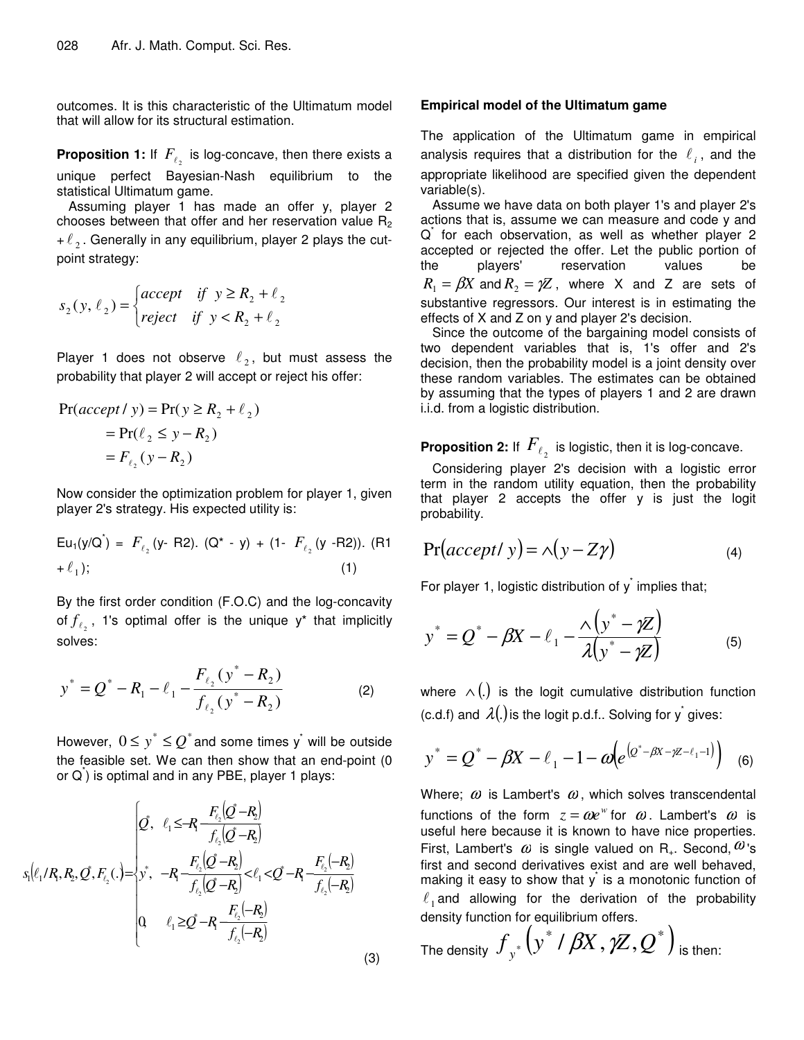outcomes. It is this characteristic of the Ultimatum model that will allow for its structural estimation.

**Proposition 1:** If  $F_{\ell_2}$  is log-concave, then there exists a unique perfect Bayesian-Nash equilibrium to the statistical Ultimatum game.

Assuming player 1 has made an offer y, player 2 chooses between that offer and her reservation value  $R_2$ +  $\ell_2$ . Generally in any equilibrium, player 2 plays the cutpoint strategy:

$$
s_2(y, \ell_2) = \begin{cases} accept & \text{if } y \ge R_2 + \ell_2 \\ reject & \text{if } y < R_2 + \ell_2 \end{cases}
$$

Player 1 does not observe  $\ell_2$ , but must assess the probability that player 2 will accept or reject his offer:

$$
Pr(accept / y) = Pr(y \ge R_2 + \ell_2)
$$
  
= Pr( $\ell_2 \le y - R_2$ )  
= F <sub>$\ell_2$</sub> (y - R<sub>2</sub>)

Now consider the optimization problem for player 1, given player 2's strategy. His expected utility is:

Eu<sub>1</sub>(y/Q<sup>\*</sup>) = 
$$
F_{\ell_2}
$$
 (y-R2). (Q<sup>\*</sup> - y) + (1-  $F_{\ell_2}$  (y-R2)). (R1  
+  $\ell_1$ ); (1)

By the first order condition (F.O.C) and the log-concavity of  $f_{\ell_2}$ , 1's optimal offer is the unique y<sup>\*</sup> that implicitly solves:

$$
y^* = Q^* - R_1 - \ell_1 - \frac{F_{\ell_2}(y^* - R_2)}{f_{\ell_2}(y^* - R_2)}
$$
 (2)

However,  $\,0\leq y^*\leq Q^*$  and some times  $\rm y^*$  will be outside the feasible set. We can then show that an end-point (0 or  $\overline{\mathsf{Q}}$ ) is optimal and in any PBE, player 1 plays:

$$
s_1\left(\ell_1/R, R_2, Q^*, F_{\ell_2}(\cdot) = \begin{cases} Q^*, & \ell_1 \leq -R_1 \frac{F_{\ell_2}(Q^* - R_2)}{f_{\ell_2}(Q^* - R_2)} \\ y^*, & -R_1 \frac{F_{\ell_2}(Q^* - R_2)}{f_{\ell_2}(Q^* - R_2)} < \ell_1 < Q^* - R_1 \frac{F_{\ell_2}(-R_2)}{f_{\ell_2}(-R_2)} \\ Q & \ell_1 \geq Q^* - R_1 \frac{F_{\ell_2}(-R_2)}{f_{\ell_2}(-R_2)} \end{cases}
$$

#### **Empirical model of the Ultimatum game**

The application of the Ultimatum game in empirical analysis requires that a distribution for the  $\ell_i$ , and the appropriate likelihood are specified given the dependent variable(s).

Assume we have data on both player 1's and player 2's actions that is, assume we can measure and code y and Q for each observation, as well as whether player 2 accepted or rejected the offer. Let the public portion of the players' reservation values be  $R_1 = \beta X$  and  $R_2 = \gamma Z$ , where X and Z are sets of substantive regressors. Our interest is in estimating the effects of X and Z on y and player 2's decision.

Since the outcome of the bargaining model consists of two dependent variables that is, 1's offer and 2's decision, then the probability model is a joint density over these random variables. The estimates can be obtained by assuming that the types of players 1 and 2 are drawn i.i.d. from a logistic distribution.

## **Proposition 2:** If  $\,F_{\ell_2}\,$  is logistic, then it is log-concave.

Considering player 2's decision with a logistic error term in the random utility equation, then the probability that player 2 accepts the offer y is just the logit probability.

$$
Pr(accept / y) = \land (y - Z\gamma)
$$
 (4)

For player 1, logistic distribution of  $y^*$  implies that;

$$
y^* = Q^* - \beta X - \ell_1 - \frac{\lambda \left( y^* - \gamma Z \right)}{\lambda \left( y^* - \gamma Z \right)}
$$
(5)

where  $\wedge(.)$  is the logit cumulative distribution function (c.d.f) and  $\mathcal{A}(.)$  is the logit p.d.f.. Solving for y<sup>\*</sup> gives:

$$
y^* = Q^* - \beta X - \ell_1 - 1 - \omega \Big( e^{(Q^* - \beta X - \gamma Z - \ell_1 - 1)} \Big) \quad (6)
$$

Where;  $\omega$  is Lambert's  $\omega$ , which solves transcendental functions of the form  $z = \omega e^w$  for  $\omega$ . Lambert's  $\omega$  is useful here because it is known to have nice properties. First, Lambert's  $\omega$  is single valued on R<sub>+</sub>. Second,  $\omega$ 's first and second derivatives exist and are well behaved, making it easy to show that  $y^*$  is a monotonic function of  $\ell_1$  and allowing for the derivation of the probability density function for equilibrium offers.

The density  $f_{y^*} \big( y^*$  /  $\beta \! X, \gamma \! Z, Q^* \big)$  is then:

(3)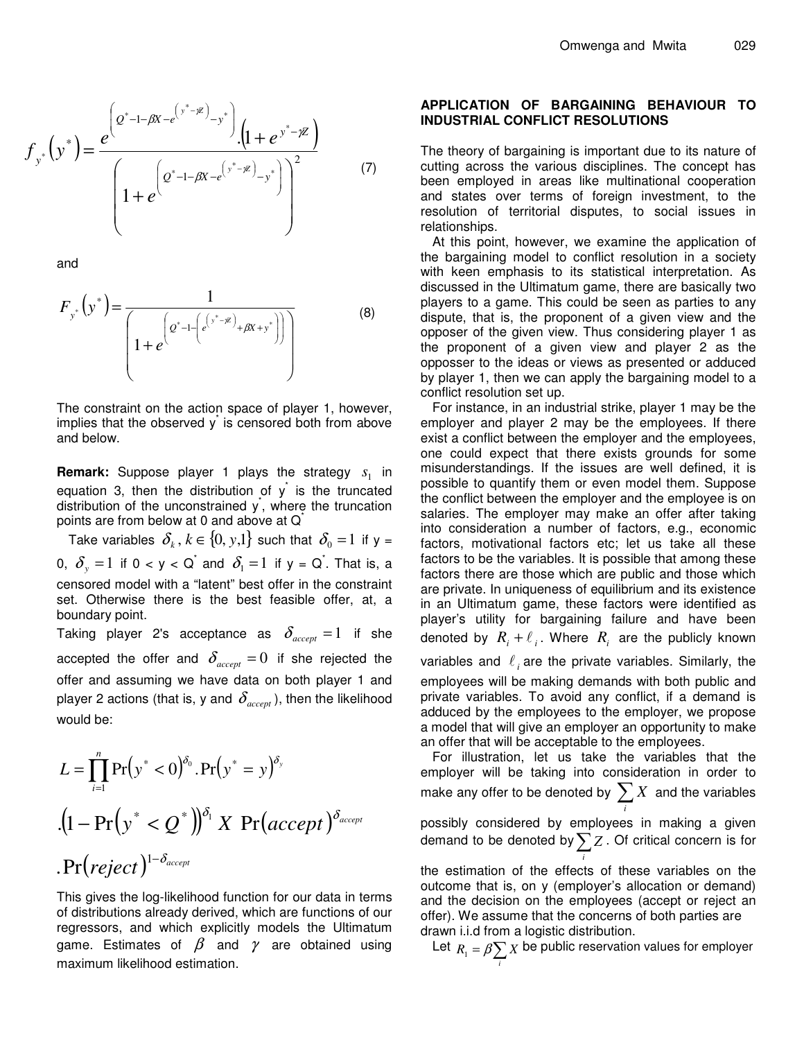$$
f_{y^*}(y^*) = \frac{e^{\left(2^* - 1 - \beta X - e^{(y^* - \gamma Z)} - y^*\right)} \cdot \left(1 + e^{y^* - \gamma Z}\right)}{\left(1 + e^{\left(2^* - 1 - \beta X - e^{(y^* - \gamma Z)} - y^*\right)}\right)^2}
$$
(7)

and

$$
F_{y^*}(y^*) = \frac{1}{\left(1 + e^{\left(e^{*} - 1 - \left(e^{\left(y^* - \mu\right)} + \beta x + y^*\right)\right)}\right)}
$$
(8)

The constraint on the action space of player 1, however, implies that the observed  $y<sup>†</sup>$  is censored both from above and below.

**Remark:** Suppose player 1 plays the strategy  $s_1$  in equation 3, then the distribution of  $y^*$  is the truncated distribution of the unconstrained y<sup>\*</sup>, where the truncation points are from below at 0 and above at  $\overline{Q}^*$ 

Take variables  $\delta_k$  ,  $k\in\{0,\,y{,}1\}$  such that  $\delta_0=1$  if y = 0,  $\delta_{\mathrm{y}}^{}=1$  if 0 < y < Q $\mathrm{\dot{\circ}}$  and  $\delta_{\mathrm{\dot{\mathrm{1}}}}=1$  if y = Q $\mathrm{\dot{\circ}}$ . That is, a censored model with a "latent" best offer in the constraint set. Otherwise there is the best feasible offer, at, a boundary point.

Taking player 2's acceptance as  $\delta_{\mathit{accept}} = 1$  if she accepted the offer and  $\delta_{\mathit{accept}} = 0$  if she rejected the offer and assuming we have data on both player 1 and player 2 actions (that is, y and  $\,\delta_{\tiny accept}$  ), then the likelihood would be:

$$
L = \prod_{i=1}^{n} \Pr(y^* < 0)^{\delta_0} \cdot \Pr(y^* = y)^{\delta_y}
$$
\n
$$
\cdot (1 - \Pr(y^* < Q^*))^{\delta_1} \times \Pr(\text{accept})^{\delta_{\text{accept}}}
$$
\n
$$
\cdot \Pr(\text{reject})^{1 - \delta_{\text{accept}}}
$$

This gives the log-likelihood function for our data in terms of distributions already derived, which are functions of our regressors, and which explicitly models the Ultimatum game. Estimates of  $\beta$  and  $\gamma$  are obtained using maximum likelihood estimation.

#### **APPLICATION OF BARGAINING BEHAVIOUR TO INDUSTRIAL CONFLICT RESOLUTIONS**

The theory of bargaining is important due to its nature of cutting across the various disciplines. The concept has been employed in areas like multinational cooperation and states over terms of foreign investment, to the resolution of territorial disputes, to social issues in relationships.

At this point, however, we examine the application of the bargaining model to conflict resolution in a society with keen emphasis to its statistical interpretation. As discussed in the Ultimatum game, there are basically two players to a game. This could be seen as parties to any dispute, that is, the proponent of a given view and the opposer of the given view. Thus considering player 1 as the proponent of a given view and player 2 as the opposser to the ideas or views as presented or adduced by player 1, then we can apply the bargaining model to a conflict resolution set up.

For instance, in an industrial strike, player 1 may be the employer and player 2 may be the employees. If there exist a conflict between the employer and the employees, one could expect that there exists grounds for some misunderstandings. If the issues are well defined, it is possible to quantify them or even model them. Suppose the conflict between the employer and the employee is on salaries. The employer may make an offer after taking into consideration a number of factors, e.g., economic factors, motivational factors etc; let us take all these factors to be the variables. It is possible that among these factors there are those which are public and those which are private. In uniqueness of equilibrium and its existence in an Ultimatum game, these factors were identified as player's utility for bargaining failure and have been denoted by  $R_i + \ell_i$ . Where  $R_i$  are the publicly known

variables and  $\ell_i$  are the private variables. Similarly, the

employees will be making demands with both public and private variables. To avoid any conflict, if a demand is adduced by the employees to the employer, we propose a model that will give an employer an opportunity to make an offer that will be acceptable to the employees.

For illustration, let us take the variables that the employer will be taking into consideration in order to make any offer to be denoted by  $\sum$ *i X* and the variables possibly considered by employees in making a given demand to be denoted by  $\sum Z$  . Of critical concern is for

*i* the estimation of the effects of these variables on the outcome that is, on y (employer's allocation or demand) and the decision on the employees (accept or reject an offer). We assume that the concerns of both parties are drawn i.i.d from a logistic distribution.

Let  $R_1 = \beta \sum X$  be public reservation values for employer *i*